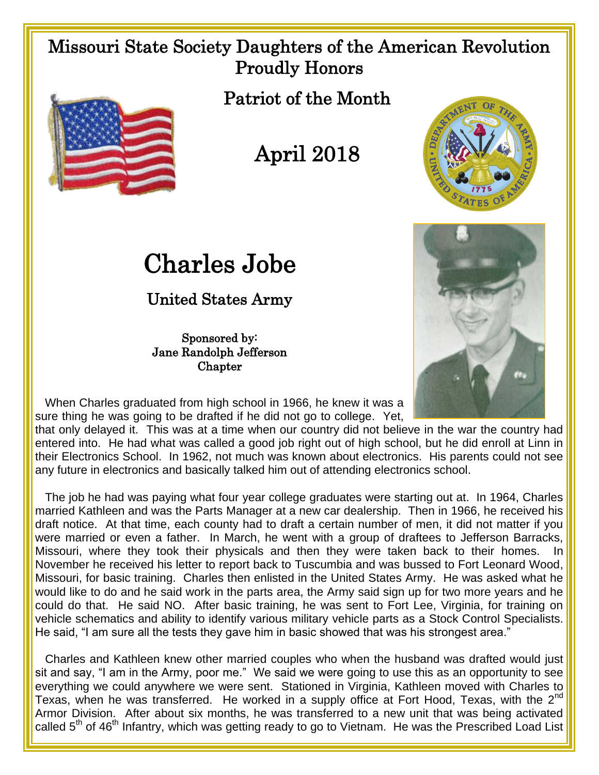## Missouri State Society Daughters of the American Revolution Proudly Honors



Patriot of the Month



## Charles Jobe

## United States Army

Sponsored by: Jane Randolph Jefferson **Chapter** 





 When Charles graduated from high school in 1966, he knew it was a sure thing he was going to be drafted if he did not go to college. Yet,

that only delayed it. This was at a time when our country did not believe in the war the country had entered into. He had what was called a good job right out of high school, but he did enroll at Linn in their Electronics School. In 1962, not much was known about electronics. His parents could not see any future in electronics and basically talked him out of attending electronics school.

 The job he had was paying what four year college graduates were starting out at. In 1964, Charles married Kathleen and was the Parts Manager at a new car dealership. Then in 1966, he received his draft notice. At that time, each county had to draft a certain number of men, it did not matter if you were married or even a father. In March, he went with a group of draftees to Jefferson Barracks, Missouri, where they took their physicals and then they were taken back to their homes. In November he received his letter to report back to Tuscumbia and was bussed to Fort Leonard Wood, Missouri, for basic training. Charles then enlisted in the United States Army. He was asked what he would like to do and he said work in the parts area, the Army said sign up for two more years and he could do that. He said NO. After basic training, he was sent to Fort Lee, Virginia, for training on vehicle schematics and ability to identify various military vehicle parts as a Stock Control Specialists. He said, "I am sure all the tests they gave him in basic showed that was his strongest area."

 Charles and Kathleen knew other married couples who when the husband was drafted would just sit and say, "I am in the Army, poor me." We said we were going to use this as an opportunity to see everything we could anywhere we were sent. Stationed in Virginia, Kathleen moved with Charles to Texas, when he was transferred. He worked in a supply office at Fort Hood, Texas, with the  $2^{nd}$ Armor Division. After about six months, he was transferred to a new unit that was being activated called 5<sup>th</sup> of 46<sup>th</sup> Infantry, which was getting ready to go to Vietnam. He was the Prescribed Load List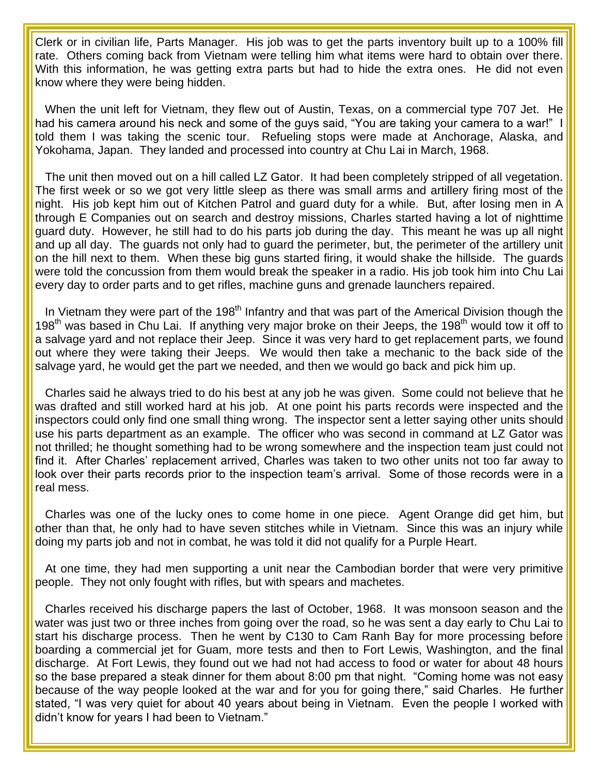Clerk or in civilian life, Parts Manager. His job was to get the parts inventory built up to a 100% fill rate. Others coming back from Vietnam were telling him what items were hard to obtain over there. With this information, he was getting extra parts but had to hide the extra ones. He did not even know where they were being hidden.

 When the unit left for Vietnam, they flew out of Austin, Texas, on a commercial type 707 Jet. He had his camera around his neck and some of the guys said, "You are taking your camera to a war!" I told them I was taking the scenic tour. Refueling stops were made at Anchorage, Alaska, and Yokohama, Japan. They landed and processed into country at Chu Lai in March, 1968.

 The unit then moved out on a hill called LZ Gator. It had been completely stripped of all vegetation. The first week or so we got very little sleep as there was small arms and artillery firing most of the night. His job kept him out of Kitchen Patrol and guard duty for a while. But, after losing men in A through E Companies out on search and destroy missions, Charles started having a lot of nighttime guard duty. However, he still had to do his parts job during the day. This meant he was up all night and up all day. The guards not only had to guard the perimeter, but, the perimeter of the artillery unit on the hill next to them. When these big guns started firing, it would shake the hillside. The guards were told the concussion from them would break the speaker in a radio. His job took him into Chu Lai every day to order parts and to get rifles, machine guns and grenade launchers repaired.

In Vietnam they were part of the 198<sup>th</sup> Infantry and that was part of the Americal Division though the 198<sup>th</sup> was based in Chu Lai. If anything very major broke on their Jeeps, the 198<sup>th</sup> would tow it off to a salvage yard and not replace their Jeep. Since it was very hard to get replacement parts, we found out where they were taking their Jeeps. We would then take a mechanic to the back side of the salvage yard, he would get the part we needed, and then we would go back and pick him up.

 Charles said he always tried to do his best at any job he was given. Some could not believe that he was drafted and still worked hard at his job. At one point his parts records were inspected and the inspectors could only find one small thing wrong. The inspector sent a letter saying other units should use his parts department as an example. The officer who was second in command at LZ Gator was not thrilled; he thought something had to be wrong somewhere and the inspection team just could not find it. After Charles' replacement arrived, Charles was taken to two other units not too far away to look over their parts records prior to the inspection team's arrival. Some of those records were in a real mess.

 Charles was one of the lucky ones to come home in one piece. Agent Orange did get him, but other than that, he only had to have seven stitches while in Vietnam. Since this was an injury while doing my parts job and not in combat, he was told it did not qualify for a Purple Heart.

 At one time, they had men supporting a unit near the Cambodian border that were very primitive people. They not only fought with rifles, but with spears and machetes.

 Charles received his discharge papers the last of October, 1968. It was monsoon season and the water was just two or three inches from going over the road, so he was sent a day early to Chu Lai to start his discharge process. Then he went by C130 to Cam Ranh Bay for more processing before boarding a commercial jet for Guam, more tests and then to Fort Lewis, Washington, and the final discharge. At Fort Lewis, they found out we had not had access to food or water for about 48 hours so the base prepared a steak dinner for them about 8:00 pm that night. "Coming home was not easy because of the way people looked at the war and for you for going there," said Charles. He further stated, "I was very quiet for about 40 years about being in Vietnam. Even the people I worked with didn't know for years I had been to Vietnam."